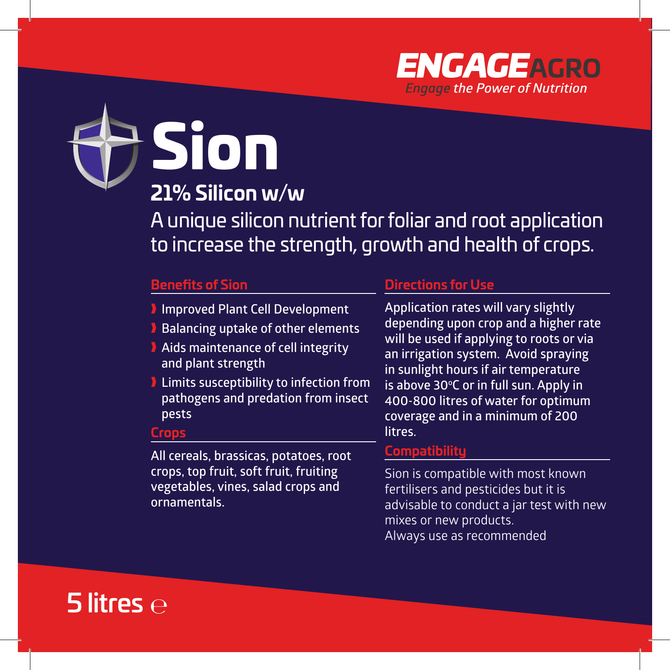

Sion

# **21% Silicon w/w**

A unique silicon nutrient for foliar and root application to increase the strength, growth and health of crops.

# **Benefits of Sion**

- **I** Improved Plant Cell Development
- **Balancing uptake of other elements**
- **Aids maintenance of cell integrity and plant strength**
- **I** Limits susceptibility to infection from **pathogens and predation from insect pests**

#### **Crops**

**All cereals, brassicas, potatoes, root crops, top fruit, soft fruit, fruiting vegetables, vines, salad crops and ornamentals.**

#### **Directions for Use**

**Application rates will vary slightly depending upon crop and a higher rate will be used if applying to roots or via an irrigation system. Avoid spraying in sunlight hours if air temperature**  is above 30°C or in full sun. Apply in **400-800 litres of water for optimum coverage and in a minimum of 200 litres.**

### **Compatibility**

Sion is compatible with most known fertilisers and pesticides but it is advisable to conduct a jar test with new mixes or new products. Always use as recommended

# 5 litres  $\ominus$